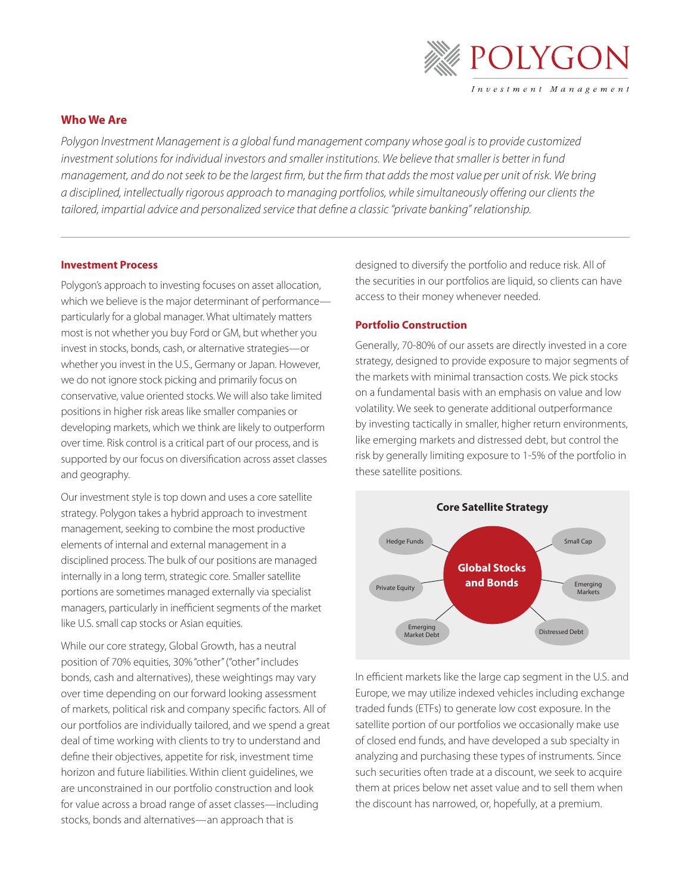

# **Who We Are**

*Polygon Investment Management is a global fund management company whose goal is to provide customized*  investment solutions for individual investors and smaller institutions. We believe that smaller is better in fund *management, and do not seek to be the largest firm, but the firm that adds the most value per unit of risk. We bring a disciplined, intellectually rigorous approach to managing portfolios, while simultaneously offering our clients the tailored, impartial advice and personalized service that define a classic "private banking" relationship.* 

# **Investment Process**

Polygon's approach to investing focuses on asset allocation, which we believe is the major determinant of performance particularly for a global manager. What ultimately matters most is not whether you buy Ford or GM, but whether you invest in stocks, bonds, cash, or alternative strategies—or whether you invest in the U.S., Germany or Japan. However, we do not ignore stock picking and primarily focus on conservative, value oriented stocks. We will also take limited positions in higher risk areas like smaller companies or developing markets, which we think are likely to outperform over time. Risk control is a critical part of our process, and is supported by our focus on diversification across asset classes and geography.

Our investment style is top down and uses a core satellite strategy. Polygon takes a hybrid approach to investment management, seeking to combine the most productive elements of internal and external management in a disciplined process. The bulk of our positions are managed internally in a long term, strategic core. Smaller satellite portions are sometimes managed externally via specialist managers, particularly in inefficient segments of the market like U.S. small cap stocks or Asian equities.

While our core strategy, Global Growth, has a neutral position of 70% equities, 30% "other" ("other" includes bonds, cash and alternatives), these weightings may vary over time depending on our forward looking assessment of markets, political risk and company specific factors. All of our portfolios are individually tailored, and we spend a great deal of time working with clients to try to understand and define their objectives, appetite for risk, investment time horizon and future liabilities. Within client guidelines, we are unconstrained in our portfolio construction and look for value across a broad range of asset classes—including stocks, bonds and alternatives—an approach that is

designed to diversify the portfolio and reduce risk. All of the securities in our portfolios are liquid, so clients can have access to their money whenever needed.

# **Portfolio Construction**

Generally, 70-80% of our assets are directly invested in a core strategy, designed to provide exposure to major segments of the markets with minimal transaction costs. We pick stocks on a fundamental basis with an emphasis on value and low volatility. We seek to generate additional outperformance by investing tactically in smaller, higher return environments, like emerging markets and distressed debt, but control the risk by generally limiting exposure to 1-5% of the portfolio in these satellite positions.



In efficient markets like the large cap segment in the U.S. and Europe, we may utilize indexed vehicles including exchange traded funds (ETFs) to generate low cost exposure. In the satellite portion of our portfolios we occasionally make use of closed end funds, and have developed a sub specialty in analyzing and purchasing these types of instruments. Since such securities often trade at a discount, we seek to acquire them at prices below net asset value and to sell them when the discount has narrowed, or, hopefully, at a premium.